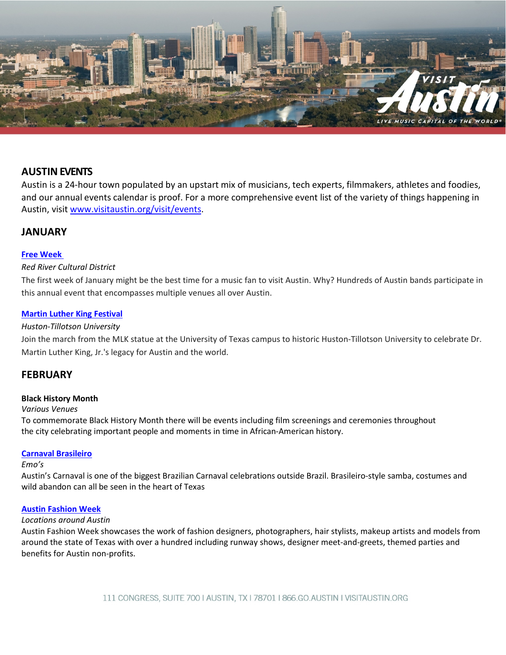

# **AUSTINEVENTS**

Austin is a 24-hour town populated by an upstart mix of musicians, tech experts, filmmakers, athletes and foodies, and our annual events calendar is proof. For a more comprehensive event list of the variety of things happening in Austin, visit [www.visitaustin.org/visit/events.](http://www.visitaustin.org/visit/events)

# **JANUARY**

## **[Free Week](http://freeweek.do512.com/)**

## *Red River Cultural District*

The first week of January might be the best time for a music fan to visit Austin. Why? Hundreds of Austin bands participate in this annual event that encompasses multiple venues all over Austin.

## **[Martin Luther](http://www.mlkcelebration.com/) King Festival**

## *Huston-Tillotson University*

Join the march from the MLK statue at the University of Texas campus to historic Huston-Tillotson University to celebrate Dr. Martin Luther King, Jr.'s legacy for Austin and the world.

# **FEBRUARY**

## **Black History Month**

## *Various Venues*

To commemorate Black History Month there will be events including film screenings and ceremonies throughout the city celebrating important people and moments in time in African-American history.

## **Carnaval [Brasileiro](http://www.sambaparty.com/)**

## *Emo's*

Austin's Carnaval is one of the biggest Brazilian Carnaval celebrations outside Brazil. Brasileiro-style samba, costumes and wild abandon can all be seen in the heart of Texas

## **[Austin Fashion Week](http://www.fashionweekaustin.com/)**

## *Locations around Austin*

Austin Fashion Week showcases the work of fashion designers, photographers, hair stylists, makeup artists and models from around the state of Texas with over a hundred including runway shows, designer meet-and-greets, themed parties and benefits for Austin non-profits.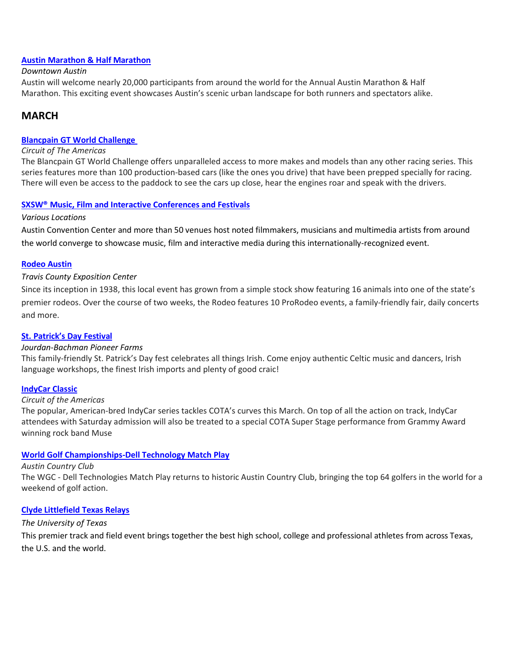## **[Austin Marathon &](http://www.youraustinmarathon.com/) Half Marathon**

## *Downtown Austin*

Austin will welcome nearly 20,000 participants from around the world for the Annual Austin Marathon & Half Marathon. This exciting event showcases Austin's scenic urban landscape for both runners and spectators alike.

# **MARCH**

## **Blancpain GT [World Challenge](http://www.circuitoftheamericas.com/world-challenge)**

## *Circuit of The Americas*

The Blancpain GT World Challenge offers unparalleled access to more makes and models than any other racing series. This series features more than 100 production-based cars (like the ones you drive) that have been prepped specially for racing. There will even be access to the paddock to see the cars up close, hear the engines roar and speak with the drivers.

## **SXSW® Music, Film and Interactive [Conferences and](http://www.sxsw.com/) Festivals**

## *Various Locations*

Austin Convention Center and more than 50 venues host noted filmmakers, musicians and multimedia artists from around the world converge to showcase music, film and interactive media during this internationally-recognized event.

## **Rodeo [Austin](http://www.rodeoaustin.com/)**

## *Travis County Exposition Center*

Since its inception in 1938, this local event has grown from a simple stock show featuring 16 animals into one of the state's premier rodeos. Over the course of two weeks, the Rodeo features 10 ProRodeo events, a family-friendly fair, daily concerts and more.

## **St. [Patrick's](http://www.stpatricksdayaustin.com/) Day Festival**

## *Jourdan-Bachman Pioneer Farms*

This family-friendly St. Patrick's Day fest celebrates all things Irish. Come enjoy authentic Celtic music and dancers, Irish language workshops, the finest Irish imports and plenty of good craic!

## **[IndyCar Classic](http://www.circuitoftheamericas.com/indy)**

## *Circuit of the Americas*

The popular, American-bred IndyCar series tackles COTA's curves this March. On top of all the action on track, IndyCar attendees with Saturday admission will also be treated to a special COTA Super Stage performance from Grammy Award winning rock band Muse

## **[World Golf Championships-Dell Technology Match Play](https://www.pgatour.com/tournaments/wgc-dell-technologies-match-play.html)**

## *Austin Country Club*

The WGC - Dell Technologies Match Play returns to historic Austin Country Club, bringing the top 64 golfers in the world for a weekend of golf action.

## **Clyde [Littlefield Texas](http://www.texassports.com/) Relays**

## *The University of Texas*

This premier track and field event brings together the best high school, college and professional athletes from across Texas, the U.S. and the world.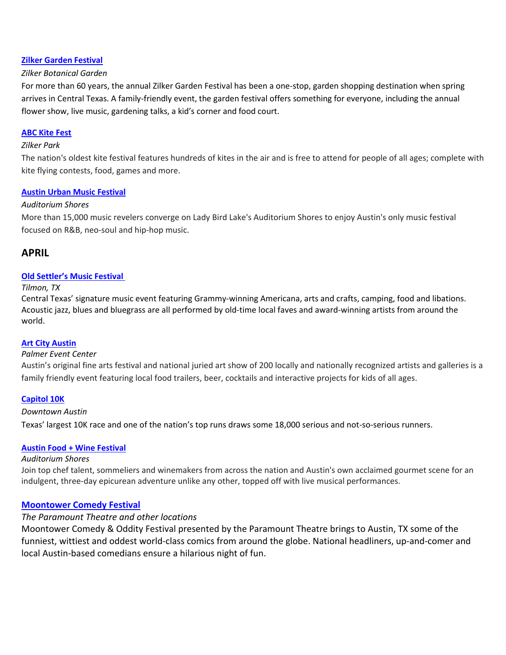## **Zilker Garden [Festival](https://worldloveflowers.com/events/zilker-garden-festival-2019/)**

## *Zilker Botanical Garden*

For more than 60 years, the annual Zilker Garden Festival has been a one-stop, garden shopping destination when spring arrives in Central Texas. A family-friendly event, the garden festival offers something for everyone, including the annual flower show, live music, gardening talks, a kid's corner and food court.

## **[ABC Kite Fest](https://www.abckitefest.org/)**

## *Zilker Park*

The nation's oldest kite festival features hundreds of kites in the air and is free to attend for people of all ages; complete with kite flying contests, food, games and more.

## **Austin Urban Music [Festival](http://www.urbanmusicfest.com/)**

## *Auditorium Shores*

More than 15,000 music revelers converge on Lady Bird Lake's Auditorium Shores to enjoy Austin's only music festival focused on R&B, neo-soul and hip-hop music.

## **APRIL**

## **[Old Settler's Music Festival](http://www.oldsettlersmusicfest.org/)**

## *Tilmon, TX*

Central Texas' signature music event featuring Grammy-winning Americana, arts and crafts, camping, food and libations. Acoustic jazz, blues and bluegrass are all performed by old-time local faves and award-winning artists from around the world.

## **[Art City Austin](http://www.artallianceaustin.org/artcity)**

## *Palmer Event Center*

Austin's original fine arts festival and national juried art show of 200 locally and nationally recognized artists and galleries is a family friendly event featuring local food trailers, beer, cocktails and interactive projects for kids of all ages.

## **[Capitol 10K](http://www.cap10k.com/participant-info/registration/)**

## *Downtown Austin*

Texas' largest 10K race and one of the nation's top runs draws some 18,000 serious and not-so-serious runners.

## **[Austin Food + Wine Festival](http://www.austinfoodandwinefestival.com/)**

## *Auditorium Shores*

Join top chef talent, sommeliers and winemakers from across the nation and Austin's own acclaimed gourmet scene for an indulgent, three-day epicurean adventure unlike any other, topped off with live musical performances.

## **[Moontower Comedy](http://www.moontowercomedyfestival.com/) Festival**

## *The Paramount Theatre and other locations*

Moontower Comedy & Oddity Festival presented by the Paramount Theatre brings to Austin, TX some of the funniest, wittiest and oddest world-class comics from around the globe. National headliners, up-and-comer and local Austin-based comedians ensure a hilarious night of fun.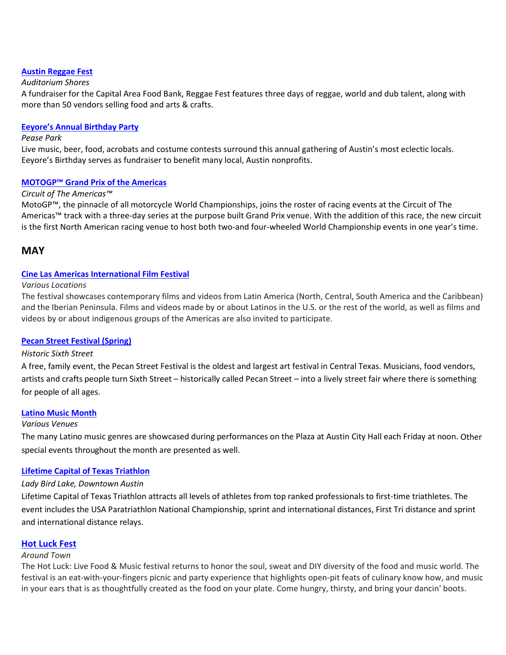## **[Austin Reggae Fest](http://www.austinreggaefest.com/)**

## *Auditorium Shores*

A fundraiser for the Capital Area Food Bank, Reggae Fest features three days of reggae, world and dub talent, along with more than 50 vendors selling food and arts & crafts.

## **[Eeyore's Annual Birthday Party](http://www.eeyores.org/)**

## *Pease Park*

Live music, beer, food, acrobats and costume contests surround this annual gathering of Austin's most eclectic locals. Eeyore's Birthday serves as fundraiser to benefit many local, Austin nonprofits.

## **[MOTOGP™ Grand Prix of the Americas](http://www.circuitoftheamericas.com/motogp)**

## *Circuit of The Americas™*

MotoGP™, the pinnacle of all motorcycle World Championships, joins the roster of racing events at the Circuit of The Americas™ track with a three-day series at the purpose built Grand Prix venue. With the addition of this race, the new circuit is the first North American racing venue to host both two-and four-wheeled World Championship events in one year's time.

## **MAY**

## **[Cine Las Americas International Film Festival](http://cinelasamericas.org/)**

## *Various Locations*

The festival showcases contemporary films and videos from Latin America (North, Central, South America and the Caribbean) and the Iberian Peninsula. Films and videos made by or about Latinos in the U.S. or the rest of the world, as well as films and videos by or about indigenous groups of the Americas are also invited to participate.

## **[Pecan Street Festival](http://pecanstreetfestival.org/) (Spring)**

## *Historic Sixth Street*

A free, family event, the Pecan Street Festival is the oldest and largest art festival in Central Texas. Musicians, food vendors, artists and crafts people turn Sixth Street – historically called Pecan Street – into a lively street fair where there is something for people of all ages.

## **Latino Music [Month](http://www.austinlatinomusic.com/)**

## *Various Venues*

The many Latino music genres are showcased during performances on the Plaza at Austin City Hall each Friday at noon. Other special events throughout the month are presented as well.

## **[Lifetime Capital](http://www.captextri.com/) of Texas Triathlon**

## *Lady Bird Lake, Downtown Austin*

Lifetime Capital of Texas Triathlon attracts all levels of athletes from top ranked professionals to first-time triathletes. The event includes the USA Paratriathlon National Championship, sprint and international distances, First Tri distance and sprint and international distance relays.

## **[Hot Luck Fest](https://www.hotluckfest.com/about)**

## *Around Town*

The Hot Luck: Live Food & Music festival returns to honor the soul, sweat and DIY diversity of the food and music world. The festival is an eat-with-your-fingers picnic and party experience that highlights open-pit feats of culinary know how, and music in your ears that is as thoughtfully created as the food on your plate. Come hungry, thirsty, and bring your dancin' boots.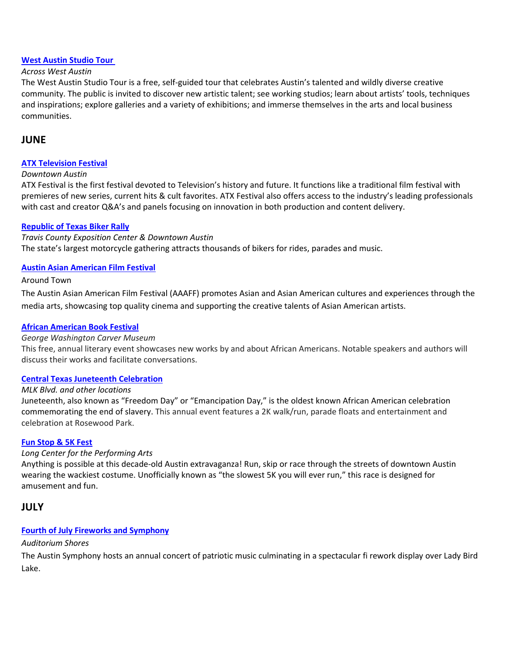## **West [Austin Studio Tour](http://www.westaustinstudiotour.com/)**

## *Across West Austin*

The West Austin Studio Tour is a free, self-guided tour that celebrates Austin's talented and wildly diverse creative community. The public is invited to discover new artistic talent; see working studios; learn about artists' tools, techniques and inspirations; explore galleries and a variety of exhibitions; and immerse themselves in the arts and local business communities.

# **JUNE**

## **[ATX Television Festival](http://www.atxfestival.com/)**

## *Downtown Austin*

ATX Festival is the first festival devoted to Television's history and future. It functions like a traditional film festival with premieres of new series, current hits & cult favorites. ATX Festival also offers access to the industry's leading professionals with cast and creator Q&A's and panels focusing on innovation in both production and content delivery.

## **[Republic of Texas Biker Rally](http://www.rotrally.com/)**

*Travis County Exposition Center & Downtown Austin* The state's largest motorcycle gathering attracts thousands of bikers for rides, parades and music.

## **[Austin Asian American Film Festival](http://aaafilmfest.com/)**

## Around Town

The Austin Asian American Film Festival (AAAFF) promotes Asian and Asian American cultures and experiences through the media arts, showcasing top quality cinema and supporting the creative talents of Asian American artists.

## **[African American Book Festival](http://www.aabookfest.com/)**

## *George Washington Carver Museum*

This free, annual literary event showcases new works by and about African Americans. Notable speakers and authors will discuss their works and facilitate conversations.

## **[Central Texas Juneteenth Celebration](http://www.juneteenthcentraltexas.com/)**

## *MLK Blvd. and other locations*

Juneteenth, also known as "Freedom Day" or "Emancipation Day," is the oldest known African American celebration commemorating the end of slavery. This annual event features a 2K walk/run, parade floats and entertainment and celebration at Rosewood Park.

## **[Fun Stop](https://funstop5k.com/) & 5K Fest**

## *Long Center for the Performing Arts*

Anything is possible at this decade-old Austin extravaganza! Run, skip or race through the streets of downtown Austin wearing the wackiest costume. Unofficially known as "the slowest 5K you will ever run," this race is designed for amusement and fun.

## **JULY**

## **[Fourth of July](http://www.roadwayevents.com/event/symphony-july-4th/) Fireworks and Symphony**

## *Auditorium Shores*

The Austin Symphony hosts an annual concert of patriotic music culminating in a spectacular fi rework display over Lady Bird Lake.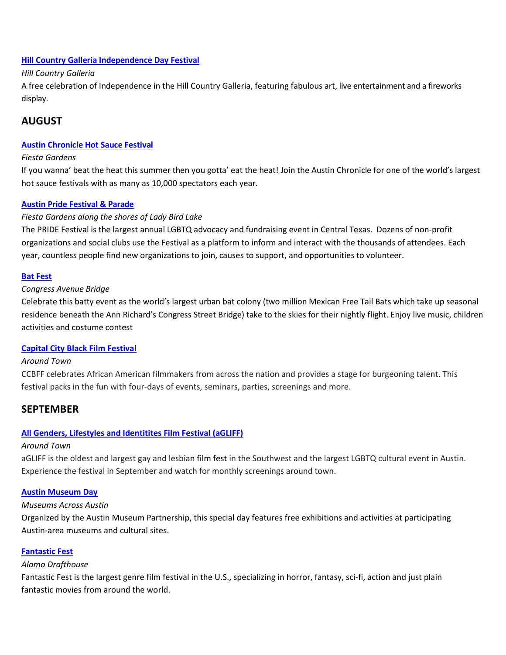## **Hill Country Galleria Independence Day Festival**

## *Hill Country Galleria*

A free celebration of Independence in the Hill Country Galleria, featuring fabulous art, live entertainment and a fireworks display.

# **AUGUST**

## **Austin [Chronicle](http://www.austinchronicle.com/hot-sauce/) Hot Sauce Festival**

## *Fiesta Gardens*

If you wanna' beat the heat this summer then you gotta' eat the heat! Join the Austin Chronicle for one of the world's largest hot sauce festivals with as many as 10,000 spectators each year.

## **Austin Pride [Festival](http://www.austinpride.org/) & Parade**

## *Fiesta Gardens along the shores of Lady Bird Lake*

The PRIDE Festival is the largest annual LGBTQ advocacy and fundraising event in Central Texas. Dozens of non-profit organizations and social clubs use the Festival as a platform to inform and interact with the thousands of attendees. Each year, countless people find new organizations to join, causes to support, and opportunities to volunteer.

## **Bat [Fest](http://www.roadwayevents.com/event/bat-fest/)**

## *Congress Avenue Bridge*

Celebrate this batty event as the world's largest urban bat colony (two million Mexican Free Tail Bats which take up seasonal residence beneath the Ann Richard's Congress Street Bridge) take to the skies for their nightly flight. Enjoy live music, children activities and costume contest

## **[Capital City Black](http://www.capcitybff.com/) Film Festival**

## *Around Town*

CCBFF celebrates African American filmmakers from across the nation and provides a stage for burgeoning talent. This festival packs in the fun with four-days of events, seminars, parties, screenings and more.

## **SEPTEMBER**

## **[All Genders, Lifestyles and Identitites](http://agliff.org/) Film Festival (aGLIFF)**

## *Around Town*

aGLIFF is the oldest and largest gay and lesbian [film fest](https://www.austintexas.org/film-commission/festivals/) in the Southwest and the largest LGBTQ cultural event in Austin. Experience the festival in September and watch for monthly screenings around town.

## **[Austin Museum Day](http://www.austinmuseums.org/museumday/)**

## *Museums Across Austin*

Organized by the Austin Museum Partnership, this special day features free exhibitions and activities at participating Austin-area museums and cultural sites.

## **[Fantastic Fest](http://www.fantasticfest.com/)**

## *Alamo Drafthouse*

Fantastic Fest is the largest genre film festival in the U.S., specializing in horror, fantasy, sci-fi, action and just plain fantastic movies from around the world.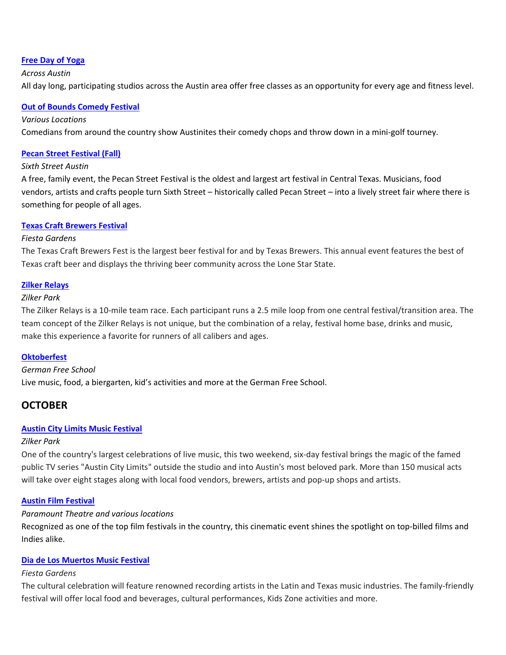## **[Free Day of Yoga](http://www.freedayofyoga.com/)**

## *Across Austin*

All day long, participating studios across the Austin area offer free classes as an opportunity for every age and fitness level.

## **[Out of Bounds Comedy Festival](http://www.outofboundscomedy.com/)**

#### *Various Locations*

Comedians from around the country show Austinites their comedy chops and throw down in a mini-golf tourney.

## **[Pecan Street Festival \(Fall\)](http://pecanstreetfestival.org/)**

## *Sixth Street Austin*

A free, family event, the Pecan Street Festival is the oldest and largest art festival in Central Texas. Musicians, food vendors, artists and crafts people turn Sixth Street – historically called Pecan Street – into a lively street fair where there is something for people of all ages.

## **[Texas Craft Brewers Festival](http://www.texascraftbrewersfestival.org/)**

## *Fiesta Gardens*

The Texas Craft Brewers Fest is the largest beer festival for and by Texas Brewers. This annual event features the best of Texas craft beer and displays the thriving beer community across the Lone Star State.

## **[Zilker Relays](http://www.zilkerrelays.com/)**

#### *Zilker Park*

The Zilker Relays is a 10-mile team race. Each participant runs a 2.5 mile loop from one central festival/transition area. The team concept of the Zilker Relays is not unique, but the combination of a relay, festival home base, drinks and music, make this experience a favorite for runners of all calibers and ages.

## **[Oktoberfest](http://www.austoberfest.com/)**

## *German Free School*

Live music, food, a biergarten, kid's activities and more at the German Free School.

## **OCTOBER**

## **[Austin City Limits Music Festival](http://www.aclfestival.com/)**

## *Zilker Park*

One of the country's largest celebrations of live music, this two weekend, six-day festival brings the magic of the famed public TV series "Austin City Limits" outside the studio and into Austin's most beloved park. More than 150 musical acts will take over eight stages along with local food vendors, brewers, artists and pop-up shops and artists.

## **[Austin Film Festival](http://www.austinfilmfestival.com/)**

## *Paramount Theatre and various locations*

Recognized as one of the top film festivals in the country, this cinematic event shines the spotlight on top-billed films and Indies alike.

## **[Dia de Los Muertos Music Festival](http://www.austindiadelosmuertos.com/)**

## *Fiesta Gardens*

The cultural celebration will feature renowned recording artists in the Latin and Texas music industries. The family-friendly festival will offer local food and beverages, cultural performances, Kids Zone activities and more.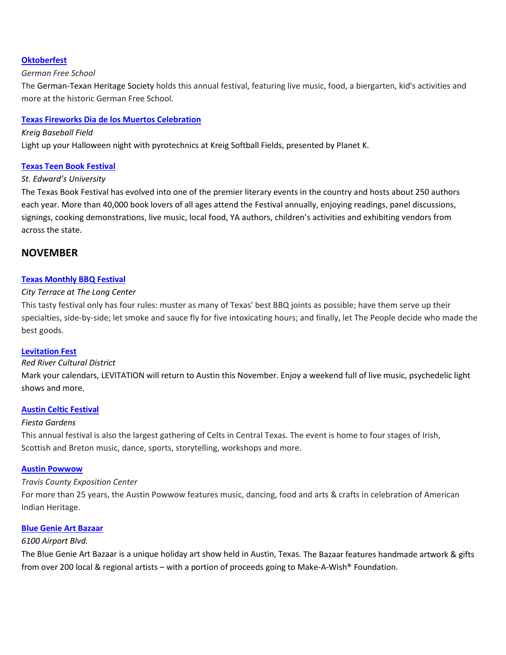## **[Oktoberfest](http://www.germantexans.org/)**

## *German Free School*

The German-Texan Heritage Society holds this annual festival, featuring live music, food, a biergarten, kid's activities and more at the historic German Free School.

## **[Texas Fireworks Dia de los Muertos Celebration](http://planetktexasfireworks.com/)**

#### *Kreig Baseball Field*

Light up your Halloween night with pyrotechnics at Kreig Softball Fields, presented by Planet K.

## **[Texas Teen Book Festival](http://www.texasbookfestival.org/)**

## *St. Edward's University*

The Texas Book Festival has evolved into one of the premier literary events in the country and hosts about 250 authors each year. More than 40,000 book lovers of all ages attend the Festival annually, enjoying readings, panel discussions, signings, cooking demonstrations, live music, local food, YA authors, children's activities and exhibiting vendors from across the state.

## **NOVEMBER**

## **Texas Monthly [BBQ Festival](https://tmbbq.com/)**

## *City Terrace at The Long Center*

This tasty festival only has four rules: muster as many of Texas' best BBQ joints as possible; have them serve up their specialties, side-by-side; let smoke and sauce fly for five intoxicating hours; and finally, let The People decide who made the best goods.

## **[Levitation](https://levitation-austin.com/levitation-nov-7-10-2019-austin-texas/) Fest**

## *Red River Cultural District*

Mark your calendars, LEVITATION will return to Austin this November. Enjoy a weekend full of live music, psychedelic light shows and more.

## **Austin Celtic [Festival](http://www.austincelticfestival.com/)**

## *Fiesta Gardens*

This annual festival is also the largest gathering of Celts in Central Texas. The event is home to four stages of Irish, Scottish and Breton music, dance, sports, storytelling, workshops and more.

## **[Austin Powwow](http://www.austinpowwow.net/)**

## *Travis County Exposition Center*

For more than 25 years, the Austin Powwow features music, dancing, food and arts & crafts in celebration of American Indian Heritage.

## **Blue [Genie Art](https://bluegenieartbazaar.com/) Bazaar**

## *6100 Airport Blvd.*

The Blue Genie Art Bazaar is a unique holiday art show held in Austin, Texas. The Bazaar features handmade artwork & gifts from over 200 local & regional artists – with a portion of proceeds going to Make-A-Wish® Foundation.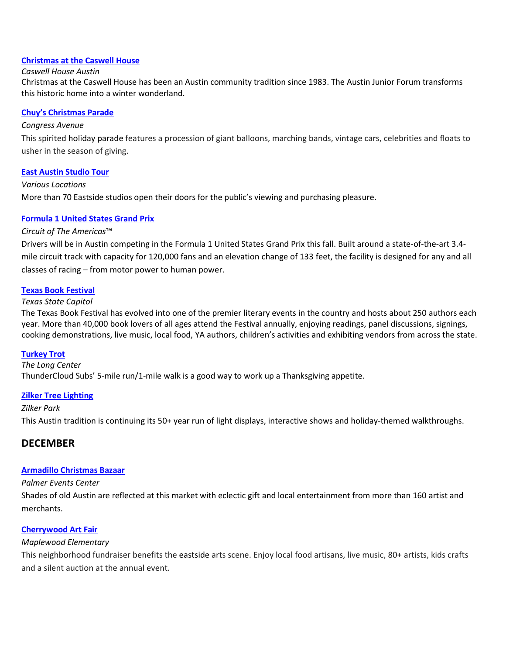## **[Christmas at the Caswell House](https://www.austinjuniorforum.org/?nd=caswell-flyer&und=135)**

### *Caswell House Austin*

Christmas at the Caswell House has been an Austin community tradition since 1983. The Austin Junior Forum transforms this historic home into a winter wonderland.

## **Chuy's [Christmas](http://www.chuysparade.com/) Parade**

## *Congress Avenue*

This spirited holiday parade features a procession of giant balloons, marching bands, vintage cars, celebrities and floats to usher in the season of giving.

## **East [Austin Studio](http://east.bigmedium.org/) Tour**

*Various Locations*

More than 70 Eastside studios open their doors for the public's viewing and purchasing pleasure.

## **Formula [1 United States Grand Prix](http://www.circuitoftheamericas.com/f1-2019)**

## *Circuit of The Americas*™

Drivers will be in Austin competing in the Formula 1 United States Grand Prix this fall. Built around a state-of-the-art 3.4 mile circuit track with capacity for 120,000 fans and an elevation change of 133 feet, the facility is designed for any and all classes of racing – from motor power to human power.

## **[Texas Book Festival](http://www.texasbookfestival.org/)**

## *Texas State Capitol*

The Texas Book Festival has evolved into one of the premier literary events in the country and hosts about 250 authors each year. More than 40,000 book lovers of all ages attend the Festival annually, enjoying readings, panel discussions, signings, cooking demonstrations, live music, local food, YA authors, children's activities and exhibiting vendors from across the state.

## **[Turkey](http://thundercloud.com/turkey-trot/) Trot**

## *The Long Center*

ThunderCloud Subs' 5-mile run/1-mile walk is a good way to work up a Thanksgiving appetite.

## **[Zilker Tree Lighting](http://austintrailoflights.org/)**

## *Zilker Park*

This Austin tradition is continuing its 50+ year run of light displays, interactive shows and holiday-themed walkthroughs.

## **DECEMBER**

## **Armadillo [Christmas](http://www.armadillobazaar.com/) Bazaar**

## *Palmer Events Center*

Shades of old Austin are reflected at this market with eclectic gift and local entertainment from more than 160 artist and merchants.

## **[Cherrywood](http://www.cherrywoodartfair.org/) Art Fair**

## *Maplewood Elementary*

This neighborhood fundraiser benefits the eastside arts scene. Enjoy local food artisans, live music, 80+ artists, kids crafts and a silent auction at the annual event.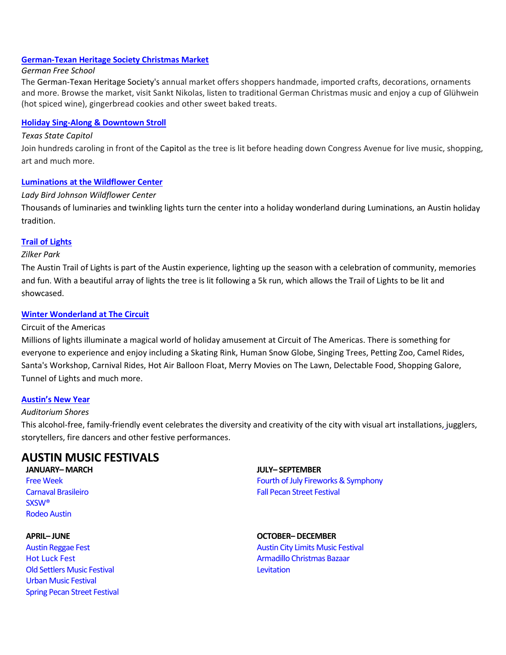## **[German-Texan Heritage](http://germantexans.org/festivals/christmas-market/) Society Christmas Market**

## *German Free School*

The German-Texan Heritage Society's annual market offers shoppers handmade, imported crafts, decorations, ornaments and more. Browse the market, visit Sankt Nikolas, listen to traditional German Christmas music and enjoy a cup of Glühwein (hot spiced wine), gingerbread cookies and other sweet baked treats.

## **Holiday Sing-Along & [Downtown Stroll](http://www.downtownaustin.com/holiday-stroll)**

## *Texas State Capitol*

Join hundreds caroling in front of the Capitol as the tree is lit before heading down Congress Avenue for live music, shopping, art and much more.

## **[Luminations](http://www.wildflower.org/luminations/) at the Wildflower Center**

## *Lady Bird Johnson Wildflower Center*

Thousands of luminaries and twinkling lights turn the center into a holiday wonderland during Luminations, an Austin holiday tradition.

## **Trail [of Lights](http://www.austintrailoflights.org/)**

## *Zilker Park*

The Austin Trail of Lights is part of the Austin experience, lighting up the season with a celebration of community, memories and fun. With a beautiful array of lights the tree is lit following a 5k run, which allows the Trail of Lights to be lit and showcased.

## **[Winter Wonderland](http://www.circuitoftheamericas.com/winter-wonderland) at The Circuit**

## Circuit of the Americas

Millions of lights illuminate a magical world of holiday amusement at Circuit of The Americas. There is something for everyone to experience and enjoy including a Skating Rink, Human Snow Globe, Singing Trees, Petting Zoo, Camel Rides, Santa's Workshop, Carnival Rides, Hot Air Balloon Float, Merry Movies on The Lawn, Delectable Food, Shopping Galore, Tunnel of Lights and much more.

## **[Austin's](http://austinsnewyear.com/) New Year**

## *Auditorium Shores*

This alcohol-free, family-friendly event celebrates the diversity and creativity of the city with visual art installations, jugglers, storytellers, fire dancers and other festive performances.

# **AUSTIN [MUSIC FESTIVALS](http://www.austintexas.org/visit/music-scene/festivals/)**

# **JANUARY– MARCH**

[Free Week](https://www.austintexas.org/event/free-week-2018/328527/) [Carnaval Brasileiro](http://sambaparty.com/) [SXSW®](https://www.sxsw.com/) [Rodeo Austin](https://rodeoaustin.com/)

## **APRIL– JUNE**

[Austin Reggae Fest](http://www.austinreggaefest.com/) [Hot Luck Fest](https://www.hotluckfest.com/about) [Old Settlers Music Festival](https://oldsettlersmusicfest.org/) [Urban Music Festival](https://urbanmusicfest.com/) [Spring Pecan Street](http://pecanstreetfestival.org/) Festival **JULY– SEPTEMBER** [Fourth of July Fireworks & Symphony](http://www.austinsymphony.org/) [Fall Pecan Street Festival](http://pecanstreetfestival.org/)

## **OCTOBER– DECEMBER** [Austin City Limits Music Festival](https://www.aclfestival.com/) [Armadillo Christmas Bazaar](http://www.armadillobazaar.com/) **[Levitation](http://www.levitation-austin.com/)**